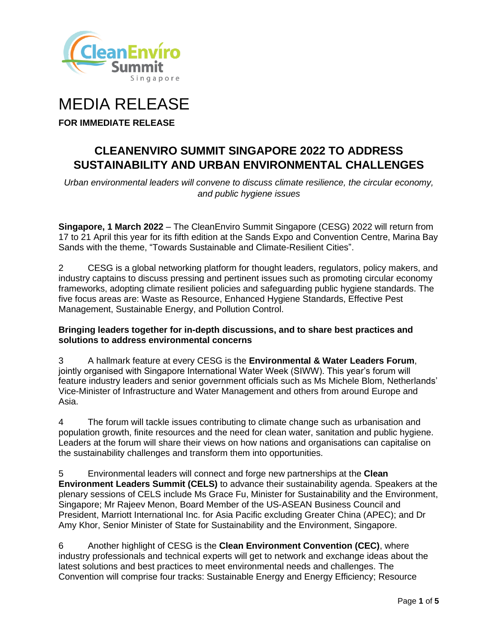

# MEDIA RELEASE

**FOR IMMEDIATE RELEASE**

## **CLEANENVIRO SUMMIT SINGAPORE 2022 TO ADDRESS SUSTAINABILITY AND URBAN ENVIRONMENTAL CHALLENGES**

*Urban environmental leaders will convene to discuss climate resilience, the circular economy, and public hygiene issues*

**Singapore, 1 March 2022** – The CleanEnviro Summit Singapore (CESG) 2022 will return from 17 to 21 April this year for its fifth edition at the Sands Expo and Convention Centre, Marina Bay Sands with the theme, "Towards Sustainable and Climate-Resilient Cities".

2 CESG is a global networking platform for thought leaders, regulators, policy makers, and industry captains to discuss pressing and pertinent issues such as promoting circular economy frameworks, adopting climate resilient policies and safeguarding public hygiene standards. The five focus areas are: Waste as Resource, Enhanced Hygiene Standards, Effective Pest Management, Sustainable Energy, and Pollution Control.

#### **Bringing leaders together for in-depth discussions, and to share best practices and solutions to address environmental concerns**

3 A hallmark feature at every CESG is the **Environmental & Water Leaders Forum**, jointly organised with Singapore International Water Week (SIWW). This year's forum will feature industry leaders and senior government officials such as Ms Michele Blom, Netherlands' Vice-Minister of Infrastructure and Water Management and others from around Europe and Asia.

4 The forum will tackle issues contributing to climate change such as urbanisation and population growth, finite resources and the need for clean water, sanitation and public hygiene. Leaders at the forum will share their views on how nations and organisations can capitalise on the sustainability challenges and transform them into opportunities.

5 Environmental leaders will connect and forge new partnerships at the **Clean Environment Leaders Summit (CELS)** to advance their sustainability agenda. Speakers at the plenary sessions of CELS include Ms Grace Fu, Minister for Sustainability and the Environment, Singapore; Mr Rajeev Menon, Board Member of the US-ASEAN Business Council and President, Marriott International Inc. for Asia Pacific excluding Greater China (APEC); and Dr Amy Khor, Senior Minister of State for Sustainability and the Environment, Singapore.

6 Another highlight of CESG is the **Clean Environment Convention (CEC)**, where industry professionals and technical experts will get to network and exchange ideas about the latest solutions and best practices to meet environmental needs and challenges. The Convention will comprise four tracks: Sustainable Energy and Energy Efficiency; Resource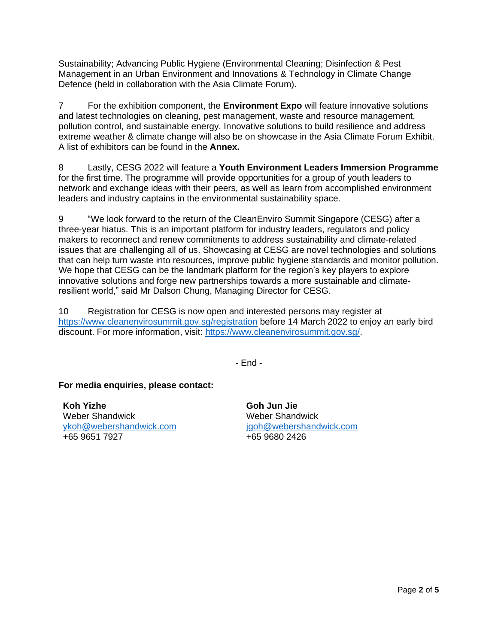Sustainability; Advancing Public Hygiene (Environmental Cleaning; Disinfection & Pest Management in an Urban Environment and Innovations & Technology in Climate Change Defence (held in collaboration with the Asia Climate Forum).

7 For the exhibition component, the **Environment Expo** will feature innovative solutions and latest technologies on cleaning, pest management, waste and resource management, pollution control, and sustainable energy. Innovative solutions to build resilience and address extreme weather & climate change will also be on showcase in the Asia Climate Forum Exhibit. A list of exhibitors can be found in the **Annex.**

8 Lastly, CESG 2022 will feature a **Youth Environment Leaders Immersion Programme** for the first time. The programme will provide opportunities for a group of youth leaders to network and exchange ideas with their peers, as well as learn from accomplished environment leaders and industry captains in the environmental sustainability space.

9 "We look forward to the return of the CleanEnviro Summit Singapore (CESG) after a three-year hiatus. This is an important platform for industry leaders, regulators and policy makers to reconnect and renew commitments to address sustainability and climate-related issues that are challenging all of us. Showcasing at CESG are novel technologies and solutions that can help turn waste into resources, improve public hygiene standards and monitor pollution. We hope that CESG can be the landmark platform for the region's key players to explore innovative solutions and forge new partnerships towards a more sustainable and climateresilient world," said Mr Dalson Chung, Managing Director for CESG.

10 Registration for CESG is now open and interested persons may register at <https://www.cleanenvirosummit.gov.sg/registration> before 14 March 2022 to enjoy an early bird discount. For more information, visit: [https://www.cleanenvirosummit.gov.sg/.](https://www.cleanenvirosummit.gov.sg/)

- End -

**For media enquiries, please contact:**

**Koh Yizhe** Weber Shandwick [ykoh@webershandwick.com](mailto:ykoh@webershandwick.com) +65 9651 7927

**Goh Jun Jie** Weber Shandwick [jgoh@webershandwick.com](mailto:jgoh@webershandwick.com) +65 9680 2426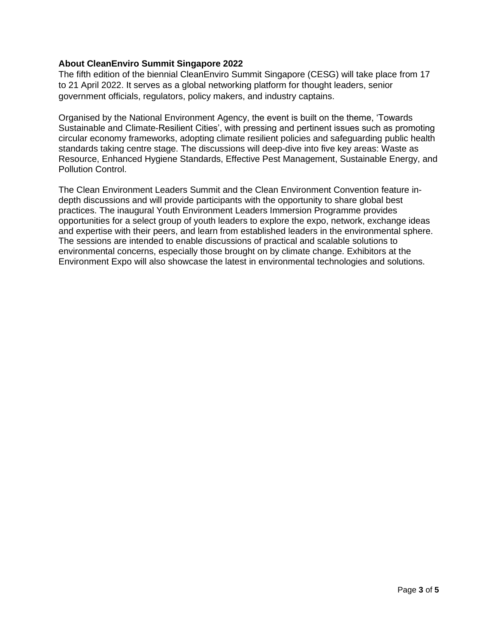#### **About CleanEnviro Summit Singapore 2022**

The fifth edition of the biennial CleanEnviro Summit Singapore (CESG) will take place from 17 to 21 April 2022. It serves as a global networking platform for thought leaders, senior government officials, regulators, policy makers, and industry captains.

Organised by the National Environment Agency, the event is built on the theme, 'Towards Sustainable and Climate-Resilient Cities', with pressing and pertinent issues such as promoting circular economy frameworks, adopting climate resilient policies and safeguarding public health standards taking centre stage. The discussions will deep-dive into five key areas: Waste as Resource, Enhanced Hygiene Standards, Effective Pest Management, Sustainable Energy, and Pollution Control.

The Clean Environment Leaders Summit and the Clean Environment Convention feature indepth discussions and will provide participants with the opportunity to share global best practices. The inaugural Youth Environment Leaders Immersion Programme provides opportunities for a select group of youth leaders to explore the expo, network, exchange ideas and expertise with their peers, and learn from established leaders in the environmental sphere. The sessions are intended to enable discussions of practical and scalable solutions to environmental concerns, especially those brought on by climate change. Exhibitors at the Environment Expo will also showcase the latest in environmental technologies and solutions.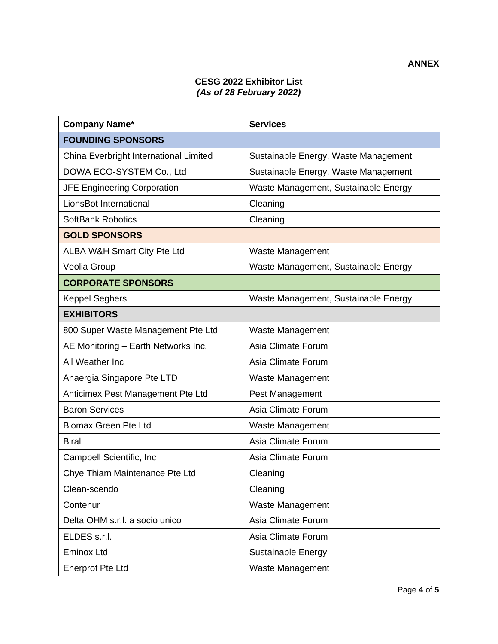### **CESG 2022 Exhibitor List** *(As of 28 February 2022)*

| <b>Company Name*</b>                   | <b>Services</b>                      |
|----------------------------------------|--------------------------------------|
| <b>FOUNDING SPONSORS</b>               |                                      |
| China Everbright International Limited | Sustainable Energy, Waste Management |
| DOWA ECO-SYSTEM Co., Ltd               | Sustainable Energy, Waste Management |
| <b>JFE Engineering Corporation</b>     | Waste Management, Sustainable Energy |
| LionsBot International                 | Cleaning                             |
| <b>SoftBank Robotics</b>               | Cleaning                             |
| <b>GOLD SPONSORS</b>                   |                                      |
| ALBA W&H Smart City Pte Ltd            | Waste Management                     |
| Veolia Group                           | Waste Management, Sustainable Energy |
| <b>CORPORATE SPONSORS</b>              |                                      |
| <b>Keppel Seghers</b>                  | Waste Management, Sustainable Energy |
| <b>EXHIBITORS</b>                      |                                      |
| 800 Super Waste Management Pte Ltd     | Waste Management                     |
| AE Monitoring - Earth Networks Inc.    | Asia Climate Forum                   |
| All Weather Inc                        | Asia Climate Forum                   |
| Anaergia Singapore Pte LTD             | Waste Management                     |
| Anticimex Pest Management Pte Ltd      | Pest Management                      |
| <b>Baron Services</b>                  | Asia Climate Forum                   |
| <b>Biomax Green Pte Ltd</b>            | Waste Management                     |
| <b>Biral</b>                           | Asia Climate Forum                   |
| Campbell Scientific, Inc               | Asia Climate Forum                   |
| Chye Thiam Maintenance Pte Ltd         | Cleaning                             |
| Clean-scendo                           | Cleaning                             |
| Contenur                               | Waste Management                     |
| Delta OHM s.r.l. a socio unico         | Asia Climate Forum                   |
| ELDES s.r.l.                           | Asia Climate Forum                   |
| <b>Eminox Ltd</b>                      | <b>Sustainable Energy</b>            |
| <b>Enerprof Pte Ltd</b>                | Waste Management                     |